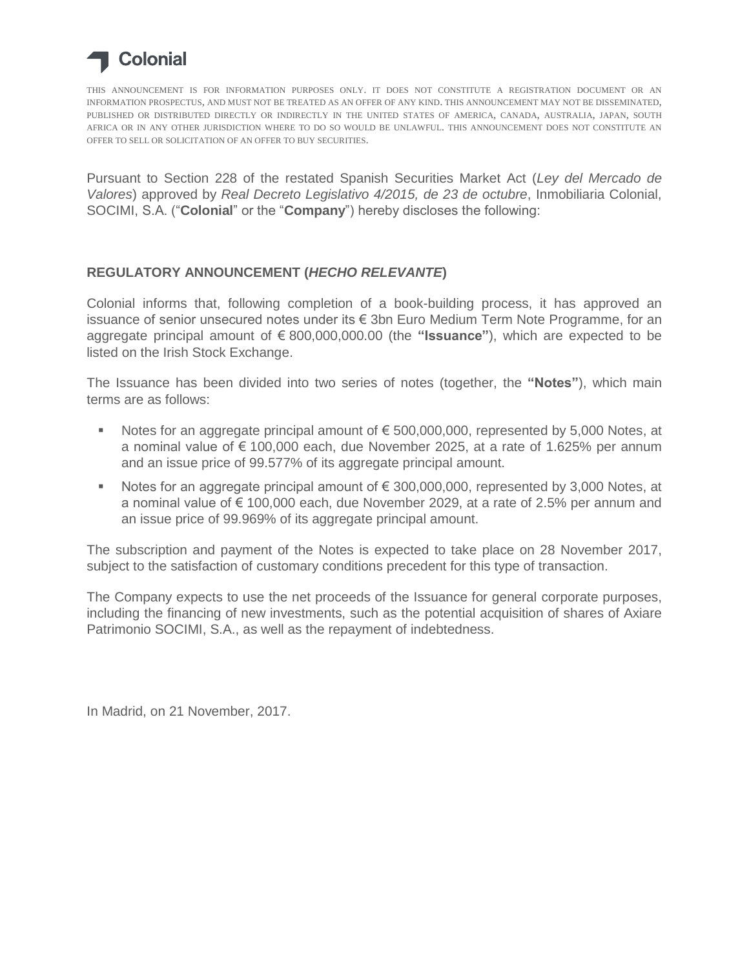

THIS ANNOUNCEMENT IS FOR INFORMATION PURPOSES ONLY. IT DOES NOT CONSTITUTE A REGISTRATION DOCUMENT OR AN INFORMATION PROSPECTUS, AND MUST NOT BE TREATED AS AN OFFER OF ANY KIND. THIS ANNOUNCEMENT MAY NOT BE DISSEMINATED, PUBLISHED OR DISTRIBUTED DIRECTLY OR INDIRECTLY IN THE UNITED STATES OF AMERICA, CANADA, AUSTRALIA, JAPAN, SOUTH AFRICA OR IN ANY OTHER JURISDICTION WHERE TO DO SO WOULD BE UNLAWFUL. THIS ANNOUNCEMENT DOES NOT CONSTITUTE AN OFFER TO SELL OR SOLICITATION OF AN OFFER TO BUY SECURITIES.

Pursuant to Section 228 of the restated Spanish Securities Market Act (*Ley del Mercado de Valores*) approved by *Real Decreto Legislativo 4/2015, de 23 de octubre*, Inmobiliaria Colonial, SOCIMI, S.A. ("**Colonial**" or the "**Company**") hereby discloses the following:

## **REGULATORY ANNOUNCEMENT (***HECHO RELEVANTE***)**

Colonial informs that, following completion of a book-building process, it has approved an issuance of senior unsecured notes under its € 3bn Euro Medium Term Note Programme, for an aggregate principal amount of € 800,000,000.00 (the **"Issuance"**), which are expected to be listed on the Irish Stock Exchange.

The Issuance has been divided into two series of notes (together, the **"Notes"**), which main terms are as follows:

- Notes for an aggregate principal amount of € 500,000,000, represented by 5,000 Notes, at a nominal value of  $\epsilon$  100,000 each, due November 2025, at a rate of 1.625% per annum and an issue price of 99.577% of its aggregate principal amount.
- Notes for an aggregate principal amount of  $\epsilon$  300,000,000, represented by 3,000 Notes, at a nominal value of  $\epsilon$  100,000 each, due November 2029, at a rate of 2.5% per annum and an issue price of 99.969% of its aggregate principal amount.

The subscription and payment of the Notes is expected to take place on 28 November 2017, subject to the satisfaction of customary conditions precedent for this type of transaction.

The Company expects to use the net proceeds of the Issuance for general corporate purposes, including the financing of new investments, such as the potential acquisition of shares of Axiare Patrimonio SOCIMI, S.A., as well as the repayment of indebtedness.

In Madrid, on 21 November, 2017.